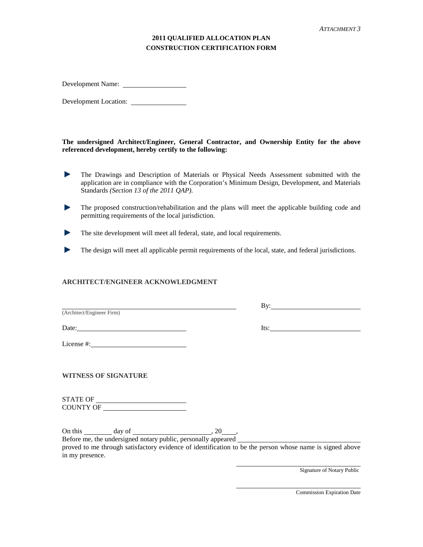## **2011 QUALIFIED ALLOCATION PLAN CONSTRUCTION CERTIFICATION FORM**

Development Name:

Development Location:

**The undersigned Architect/Engineer, General Contractor, and Ownership Entity for the above referenced development, hereby certify to the following:**

- Þ The Drawings and Description of Materials or Physical Needs Assessment submitted with the application are in compliance with the Corporation's Minimum Design, Development, and Materials Standards *(Section 13 of the 2011 QAP).*
- **Service** The proposed construction/rehabilitation and the plans will meet the applicable building code and permitting requirements of the local jurisdiction.
- The site development will meet all federal, state, and local requirements. **Bar**
- The design will meet all applicable permit requirements of the local, state, and federal jurisdictions.

## **ARCHITECT/ENGINEER ACKNOWLEDGMENT**

Date: Its: Its:

License #: Next Section 2014

**WITNESS OF SIGNATURE**

STATE OF COUNTY OF

On this  $\qquad \qquad \text{day of} \qquad \qquad 20 \qquad \qquad$ 

Before me, the undersigned notary public, personally appeared

proved to me through satisfactory evidence of identification to be the person whose name is signed above in my presence.

Signature of Notary Public

Commission Expiration Date

By: (Architect/Engineer Firm)